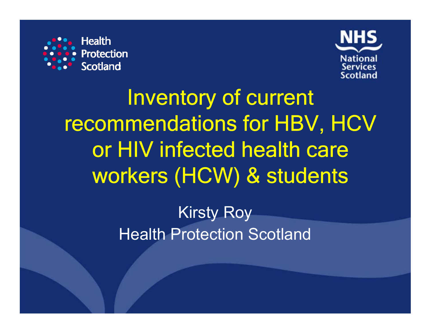



Inventory of current recommendations for HBV, HCV or HIV infected health care workers (HCW) & students

> Kirsty Roy **Health Protection Scotland**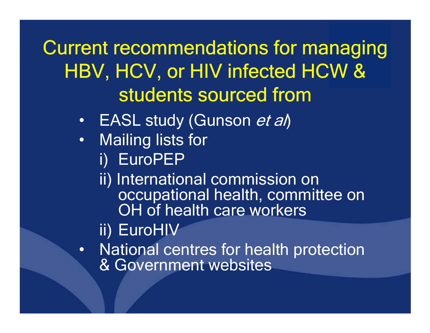Current recommendations for managing HBV, HCV, or HIV infected HCW & students sourced from

- •EASL study (Gunson et al)
- •**Mailing lists for** 
	- i) EuroPEP
	- ii) International commission on occupational health, committee on OH of health care workers

ii) EuroHIV

 $\bullet$  National centres for health protection & Government websites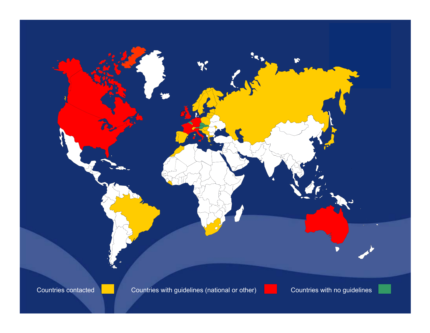

Countries with guidelines (national or other) **Countries with no guidelines** 

 $\sum_{i=1}^{n}$ 



ה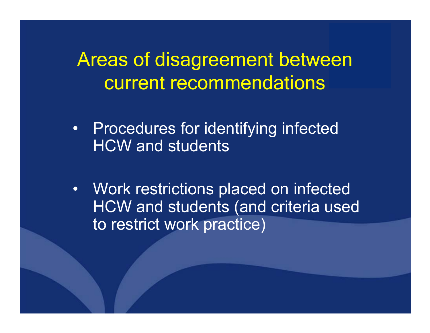## Areas of disagreement between current recommendations

- • Procedures for identifying infected HCW and students
- $\bullet$  Work restrictions placed on infected HCW and students (and criteria used to restrict work practice)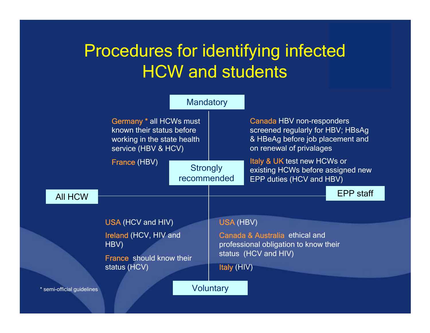## Procedures for identifying infected HCW and students

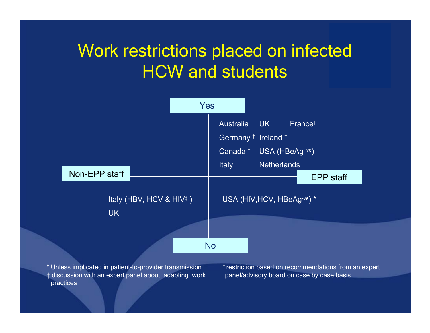## Work restrictions placed on infected **HCW and students**



‡ discussion with an expert panel about adapting work panel/advisory board on case by case basi practices

s